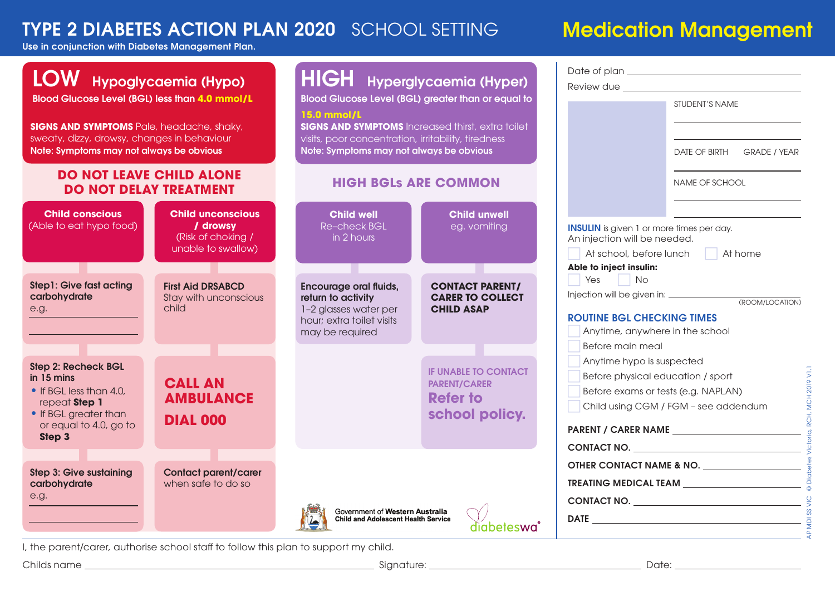# TYPE 2 DIABETES ACTION PLAN 2020 SCHOOL SETTING Medication Management

### Use in conjunction with Diabetes Management Plan.

| LOW Hypoglycaemia (Hypo)<br><b>Blood Glucose Level (BGL) less than 4.0 mmol/L</b><br><b>SIGNS AND SYMPTOMS</b> Pale, headache, shaky,<br>sweaty, dizzy, drowsy, changes in behaviour<br>Note: Symptoms may not always be obvious<br><b>DO NOT LEAVE CHILD ALONE</b><br><b>DO NOT DELAY TREATMENT</b> |                                                                                  | <b>HIGH</b> Hyperglycaemia (Hyper)<br><b>Blood Glucose Level (BGL) greater than or equal to</b><br>15.0 mmol/L<br><b>SIGNS AND SYMPTOMS</b> Increased thirst, extra toilet<br>visits, poor concentration, irritability, tiredness<br>Note: Symptoms may not always be obvious<br><b>HIGH BGLS ARE COMMON</b> |                                                                                         | Date of plan state and the contract of plan state of plan state and the contract of the contract of the contract of the contract of the contract of the contract of the contract of the contract of the contract of the contra<br>Review due<br>STUDENT'S NAME<br>DATE OF BIRTH GRADE / YEAR |  |
|------------------------------------------------------------------------------------------------------------------------------------------------------------------------------------------------------------------------------------------------------------------------------------------------------|----------------------------------------------------------------------------------|--------------------------------------------------------------------------------------------------------------------------------------------------------------------------------------------------------------------------------------------------------------------------------------------------------------|-----------------------------------------------------------------------------------------|----------------------------------------------------------------------------------------------------------------------------------------------------------------------------------------------------------------------------------------------------------------------------------------------|--|
|                                                                                                                                                                                                                                                                                                      |                                                                                  |                                                                                                                                                                                                                                                                                                              |                                                                                         | NAME OF SCHOOL                                                                                                                                                                                                                                                                               |  |
| <b>Child conscious</b><br>(Able to eat hypo food)                                                                                                                                                                                                                                                    | <b>Child unconscious</b><br>/ drowsy<br>(Risk of choking /<br>unable to swallow) | <b>Child well</b><br>Re-check BGL<br>in 2 hours                                                                                                                                                                                                                                                              | <b>Child unwell</b><br>eg. vomiting                                                     | <b>INSULIN</b> is given 1 or more times per day.<br>An injection will be needed.<br>At home<br>At school, before lunch<br>n a<br>Able to inject insulin:                                                                                                                                     |  |
| <b>Step1: Give fast acting</b><br>carbohydrate<br>e.g.                                                                                                                                                                                                                                               | <b>First Aid DRSABCD</b><br>Stay with unconscious<br>child                       | <b>Encourage oral fluids,</b><br>return to activity<br>1-2 glasses water per<br>hour; extra toilet visits<br>may be required                                                                                                                                                                                 | <b>CONTACT PARENT/</b><br><b>CARER TO COLLECT</b><br><b>CHILD ASAP</b>                  | Yes No<br>(ROOM/LOCATION)<br><b>ROUTINE BGL CHECKING TIMES</b><br>Anytime, anywhere in the school                                                                                                                                                                                            |  |
| <b>Step 2: Recheck BGL</b><br>in 15 mins<br>• If BGL less than 4.0,<br>repeat Step 1<br>• If BGL greater than<br>or equal to 4.0, go to<br>Step 3                                                                                                                                                    | <b>CALL AN</b><br><b>AMBULANCE</b><br><b>DIAL 000</b>                            |                                                                                                                                                                                                                                                                                                              | <b>IF UNABLE TO CONTACT</b><br><b>PARENT/CARER</b><br><b>Refer to</b><br>school policy. | Before main meal<br>Anytime hypo is suspected<br>Before physical education / sport<br>Before exams or tests (e.g. NAPLAN)<br>Child using CGM / FGM - see addendum                                                                                                                            |  |
| <b>Step 3: Give sustaining</b><br>carbohydrate<br>e.g.                                                                                                                                                                                                                                               | <b>Contact parent/carer</b><br>when safe to do so                                | Government of Western Australia<br>Child and Adolescent Health Service                                                                                                                                                                                                                                       | diabeteswa                                                                              | CONTACT NO.<br>OTHER CONTACT NAME & NO.<br>CONTACT NO.<br>DATE $\overline{a}$                                                                                                                                                                                                                |  |

I, the parent/carer, authorise school staff to follow this plan to support my child.

Childs name Signature: Date: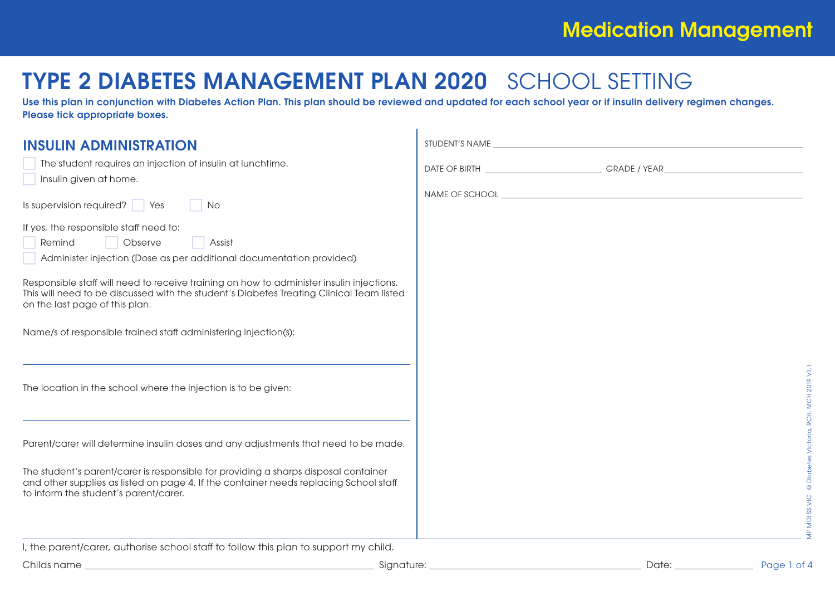# TYPE 2 DIABETES MANAGEMENT PLAN 2020 SCHOOL SETTING

Use this plan in conjunction with Diabetes Action Plan. This plan should be reviewed and updated for each school year or if insulin delivery regimen changes. Please tick appropriate boxes.

| <b>INSULIN ADMINISTRATION</b><br>The student requires an injection of insulin at lunchtime.<br>Insulin given at home.<br>Is supervision required? $\sqrt{\phantom{a}}$ Yes<br>No<br>If yes, the responsible staff need to:<br>Observe<br>Remind<br>Assist<br>Administer injection (Dose as per additional documentation provided)<br>Responsible staff will need to receive training on how to administer insulin injections.<br>This will need to be discussed with the student's Diabetes Treating Clinical Team listed |                      |
|---------------------------------------------------------------------------------------------------------------------------------------------------------------------------------------------------------------------------------------------------------------------------------------------------------------------------------------------------------------------------------------------------------------------------------------------------------------------------------------------------------------------------|----------------------|
| on the last page of this plan.<br>Name/s of responsible trained staff administering injection(s):<br>The location in the school where the injection is to be given:                                                                                                                                                                                                                                                                                                                                                       | š                    |
| Parent/carer will determine insulin doses and any adjustments that need to be made.<br>The student's parent/carer is responsible for providing a sharps disposal container<br>and other supplies as listed on page 4. If the container needs replacing School staff<br>to inform the student's parent/carer.                                                                                                                                                                                                              |                      |
| I, the parent/carer, authorise school staff to follow this plan to support my child.<br>Childs name<br>Signature:                                                                                                                                                                                                                                                                                                                                                                                                         | Date:<br>Page 1 of 4 |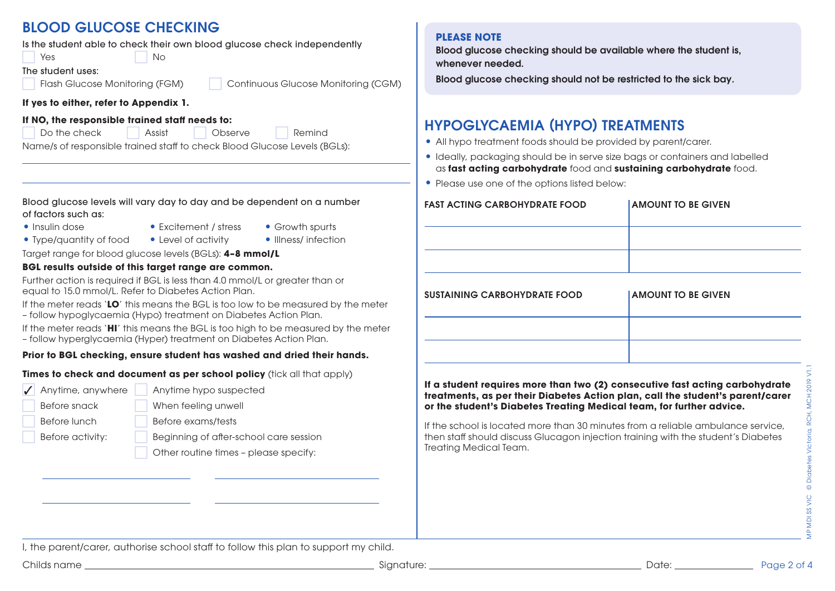### BLOOD GLUCOSE CHECKING

Is the student able to check their own blood glucose check independently

**No. 2. In the Second Stress Second Stress Second Stress Second Stress Second Stress Second Stress Second Stress Second Stress Second Stress Second Stress Second Stress Second Stress Second Stress Second Stress Second Stre** The student uses:

Flash Glucose Monitoring (FGM) Continuous Glucose Monitoring (CGM)

### **If yes to either, refer to Appendix 1.**

#### **If NO, the responsible trained staff needs to:**

Do the check Assist Cheatye Remind

Name/s of responsible trained staff to check Blood Glucose Levels (BGLs):

Blood glucose levels will vary day to day and be dependent on a number of factors such as:

- 
- Insulin dose **•** Excitement / stress Growth spurts
- Type/quantity of food Level of activity Illness/ infection
- -

Target range for blood glucose levels (BGLs): **4–8 mmol/L**

#### **BGL results outside of this target range are common.**

Further action is required if BGL is less than 4.0 mmol/L or greater than or equal to 15.0 mmol/L. Refer to Diabetes Action Plan.

If the meter reads '**LO**' this means the BGL is too low to be measured by the meter

– follow hypoglycaemia (Hypo) treatment on Diabetes Action Plan.

If the meter reads '**HI**' this means the BGL is too high to be measured by the meter

– follow hyperglycaemia (Hyper) treatment on Diabetes Action Plan.

#### **Prior to BGL checking, ensure student has washed and dried their hands.**

**Times to check and document as per school policy** (tick all that apply)

√ Anytime, anywhere |

Anytime hypo suspected

Before snack When feeling unwell

Before lunch Before exams/tests

Before activity: **Beginning of after-school care session** 

Other routine times – please specify:

### **PLEASE NOTE**

Blood glucose checking should be available where the student is, whenever needed.

Blood glucose checking should not be restricted to the sick bay.

### HYPOGLYCAEMIA (HYPO) TREATMENTS

- All hypo treatment foods should be provided by parent/carer.
- Ideally, packaging should be in serve size bags or containers and labelled as **fast acting carbohydrate** food and **sustaining carbohydrate** food.
- Please use one of the options listed below:

| <b>FAST ACTING CARBOHYDRATE FOOD</b> | <b>AMOUNT TO BE GIVEN</b> |
|--------------------------------------|---------------------------|
|                                      |                           |
|                                      |                           |
|                                      |                           |
| <b>SUSTAINING CARBOHYDRATE FOOD</b>  | <b>AMOUNT TO BE GIVEN</b> |
|                                      |                           |
|                                      |                           |
|                                      |                           |

**If a student requires more than two (2) consecutive fast acting carbohydrate treatments, as per their Diabetes Action plan, call the student's parent/carer or the student's Diabetes Treating Medical team, for further advice.**

If the school is located more than 30 minutes from a reliable ambulance service, then staff should discuss Glucagon injection training with the student's Diabetes Treating Medical Team.

I, the parent/carer, authorise school staff to follow this plan to support my child.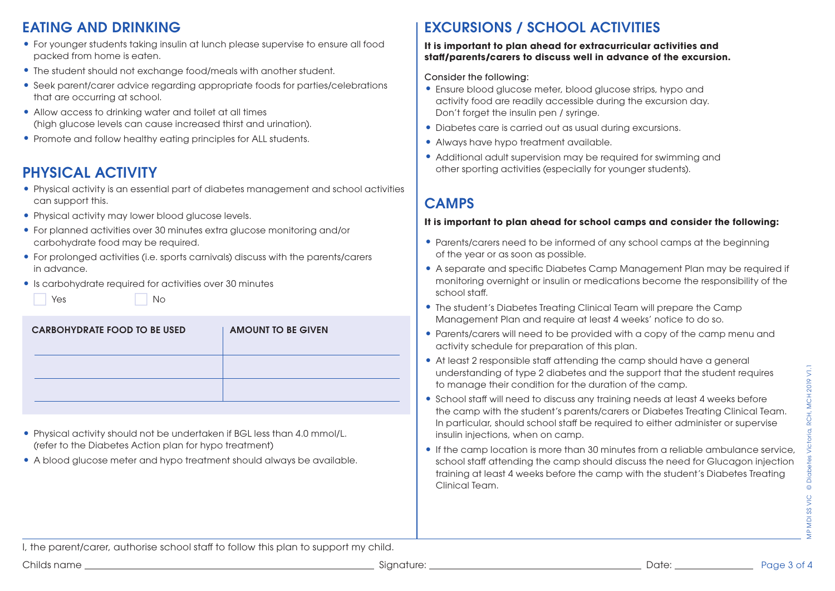### EATING AND DRINKING

- For younger students taking insulin at lunch please supervise to ensure all food packed from home is eaten.
- The student should not exchange food/meals with another student.
- Seek parent/carer advice regarding appropriate foods for parties/celebrations that are occurring at school.
- Allow access to drinking water and toilet at all times (high glucose levels can cause increased thirst and urination).
- Promote and follow healthy eating principles for ALL students.

### PHYSICAL ACTIVITY

- Physical activity is an essential part of diabetes management and school activities can support this.
- Physical activity may lower blood glucose levels.
- For planned activities over 30 minutes extra glucose monitoring and/or carbohydrate food may be required.
- For prolonged activities (i.e. sports carnivals) discuss with the parents/carers in advance.
- Is carbohydrate required for activities over 30 minutes

|  | Yes |  | No |
|--|-----|--|----|
|--|-----|--|----|

| <b>CARBOHYDRATE FOOD TO BE USED</b> | <b>AMOUNT TO BE GIVEN</b> |
|-------------------------------------|---------------------------|
|                                     |                           |
|                                     |                           |

- Physical activity should not be undertaken if BGL less than 4.0 mmol/L. (refer to the Diabetes Action plan for hypo treatment)
- A blood glucose meter and hypo treatment should always be available.

### EXCURSIONS / SCHOOL ACTIVITIES

#### **It is important to plan ahead for extracurricular activities and staff/parents/carers to discuss well in advance of the excursion.**

Consider the following:

- Ensure blood glucose meter, blood glucose strips, hypo and activity food are readily accessible during the excursion day. Don't forget the insulin pen / syringe.
- Diabetes care is carried out as usual during excursions.
- Always have hypo treatment available.
- Additional adult supervision may be required for swimming and other sporting activities (especially for younger students).

### CAMPS

#### **It is important to plan ahead for school camps and consider the following:**

- Parents/carers need to be informed of any school camps at the beginning of the year or as soon as possible.
- A separate and specific Diabetes Camp Management Plan may be required if monitoring overnight or insulin or medications become the responsibility of the school staff.
- The student's Diabetes Treating Clinical Team will prepare the Camp Management Plan and require at least 4 weeks' notice to do so.
- Parents/carers will need to be provided with a copy of the camp menu and activity schedule for preparation of this plan.
- At least 2 responsible staff attending the camp should have a general understanding of type 2 diabetes and the support that the student requires to manage their condition for the duration of the camp.
- School staff will need to discuss any training needs at least 4 weeks before the camp with the student's parents/carers or Diabetes Treating Clinical Team. In particular, should school staff be required to either administer or supervise insulin injections, when on camp.
- Fres<br>
e<br>
Page 3 of 4<br>
Page 3 of 4<br>
Page 3 of 4<br>
Page 3 of 4<br>
Page 3 of 4<br>
Page 3 of 4<br>
Page 3 of 4<br>
Page 3 of 4 • If the camp location is more than 30 minutes from a reliable ambulance service, school staff attending the camp should discuss the need for Glucagon injection training at least 4 weeks before the camp with the student's Diabetes Treating Clinical Team.

I, the parent/carer, authorise school staff to follow this plan to support my child.